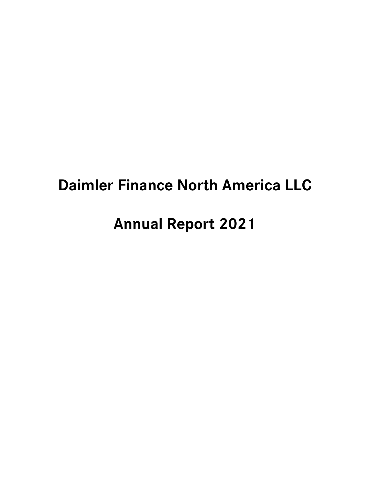# **Daimler Finance North America LLC**

# **Annual Report 2021**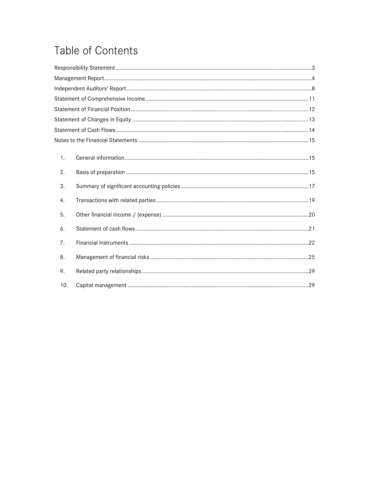## Table of Contents

| 1.  |
|-----|
| 2.  |
| 3.  |
| 4.  |
| 5.  |
| 6.  |
| 7.  |
| 8.  |
| 9.  |
| 10. |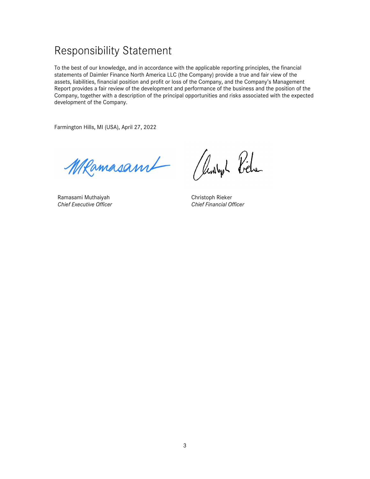## Responsibility Statement

To the best of our knowledge, and in accordance with the applicable reporting principles, the financial statements of Daimler Finance North America LLC (the Company) provide a true and fair view of the assets, liabilities, financial position and profit or loss of the Company, and the Company's Management Report provides a fair review of the development and performance of the business and the position of the Company, together with a description of the principal opportunities and risks associated with the expected development of the Company.

Farmington Hills, MI (USA), April 27, 2022

MRamasamt

Ramasami Muthaiyah *Chief Executive Officer*

Rendby L Velve

Christoph Rieker *Chief Financial Officer*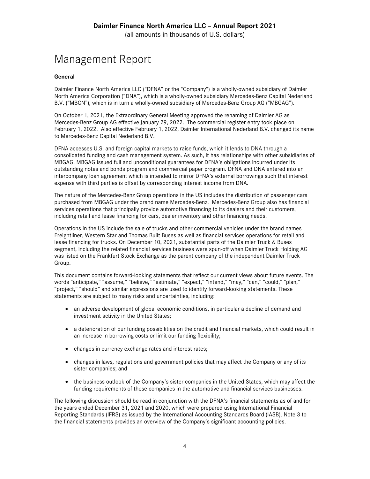(all amounts in thousands of U.S. dollars)

## Management Report

#### **General**

Daimler Finance North America LLC ("DFNA" or the "Company") is a wholly-owned subsidiary of Daimler North America Corporation ("DNA"), which is a wholly-owned subsidiary Mercedes-Benz Capital Nederland B.V. ("MBCN"), which is in turn a wholly-owned subsidiary of Mercedes-Benz Group AG ("MBGAG").

On October 1, 2021, the Extraordinary General Meeting approved the renaming of Daimler AG as Mercedes-Benz Group AG effective January 29, 2022. The commercial register entry took place on February 1, 2022. Also effective February 1, 2022, Daimler International Nederland B.V. changed its name to Mercedes-Benz Capital Nederland B.V.

DFNA accesses U.S. and foreign capital markets to raise funds, which it lends to DNA through a consolidated funding and cash management system. As such, it has relationships with other subsidiaries of MBGAG. MBGAG issued full and unconditional guarantees for DFNA's obligations incurred under its outstanding notes and bonds program and commercial paper program. DFNA and DNA entered into an intercompany loan agreement which is intended to mirror DFNA's external borrowings such that interest expense with third parties is offset by corresponding interest income from DNA.

The nature of the Mercedes-Benz Group operations in the US includes the distribution of passenger cars purchased from MBGAG under the brand name Mercedes-Benz. Mercedes-Benz Group also has financial services operations that principally provide automotive financing to its dealers and their customers, including retail and lease financing for cars, dealer inventory and other financing needs.

Operations in the US include the sale of trucks and other commercial vehicles under the brand names Freightliner, Western Star and Thomas Built Buses as well as financial services operations for retail and lease financing for trucks. On December 10, 2021, substantial parts of the Daimler Truck & Buses segment, including the related financial services business were spun-off when Daimler Truck Holding AG was listed on the Frankfurt Stock Exchange as the parent company of the independent Daimler Truck Group.

This document contains forward-looking statements that reflect our current views about future events. The words "anticipate," "assume," "believe," "estimate," "expect," "intend," "may," "can," "could," "plan," "project," "should" and similar expressions are used to identify forward-looking statements. These statements are subject to many risks and uncertainties, including:

- an adverse development of global economic conditions, in particular a decline of demand and investment activity in the United States;
- a deterioration of our funding possibilities on the credit and financial markets, which could result in an increase in borrowing costs or limit our funding flexibility;
- changes in currency exchange rates and interest rates;
- changes in laws, regulations and government policies that may affect the Company or any of its sister companies; and
- the business outlook of the Company's sister companies in the United States, which may affect the funding requirements of these companies in the automotive and financial services businesses.

The following discussion should be read in conjunction with the DFNA's financial statements as of and for the years ended December 31, 2021 and 2020, which were prepared using International Financial Reporting Standards (IFRS) as issued by the International Accounting Standards Board (IASB). Note 3 to the financial statements provides an overview of the Company's significant accounting policies.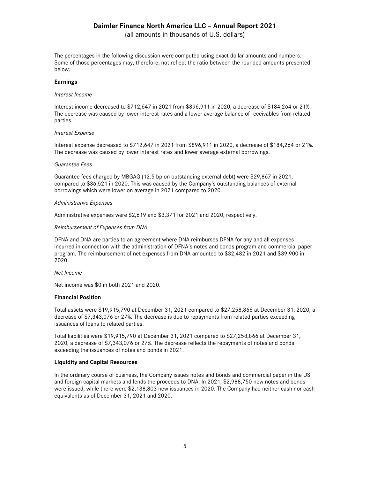(all amounts in thousands of U.S. dollars)

The percentages in the following discussion were computed using exact dollar amounts and numbers. Some of those percentages may, therefore, not reflect the ratio between the rounded amounts presented below.

#### **Earnings**

#### *Interest Income*

Interest income decreased to \$712,647 in 2021 from \$896,911 in 2020, a decrease of \$184,264 or 21%. The decrease was caused by lower interest rates and a lower average balance of receivables from related parties.

#### *Interest Expense*

Interest expense decreased to \$712,647 in 2021 from \$896,911 in 2020, a decrease of \$184,264 or 21%. The decrease was caused by lower interest rates and lower average external borrowings.

#### *Guarantee Fees*

Guarantee fees charged by MBGAG (12.5 bp on outstanding external debt) were \$29,867 in 2021, compared to \$36,521 in 2020. This was caused by the Company's outstanding balances of external borrowings which were lower on average in 2021 compared to 2020.

#### *Administrative Expenses*

Administrative expenses were \$2,619 and \$3,371 for 2021 and 2020, respectively.

#### *Reimbursement of Expenses from DNA*

DFNA and DNA are parties to an agreement where DNA reimburses DFNA for any and all expenses incurred in connection with the administration of DFNA's notes and bonds program and commercial paper program. The reimbursement of net expenses from DNA amounted to \$32,482 in 2021 and \$39,900 in 2020.

#### *Net Income*

Net income was \$0 in both 2021 and 2020.

#### **Financial Position**

Total assets were \$19,915,790 at December 31, 2021 compared to \$27,258,866 at December 31, 2020, a decrease of \$7,343,076 or 27%. The decrease is due to repayments from related parties exceeding issuances of loans to related parties.

Total liabilities were \$19,915,790 at December 31, 2021 compared to \$27,258,866 at December 31, 2020, a decrease of \$7,343,076 or 27%. The decrease reflects the repayments of notes and bonds exceeding the issuances of notes and bonds in 2021.

#### **Liquidity and Capital Resources**

In the ordinary course of business, the Company issues notes and bonds and commercial paper in the US and foreign capital markets and lends the proceeds to DNA. In 2021, \$2,988,750 new notes and bonds were issued, while there were \$2,138,803 new issuances in 2020. The Company had neither cash nor cash equivalents as of December 31, 2021 and 2020.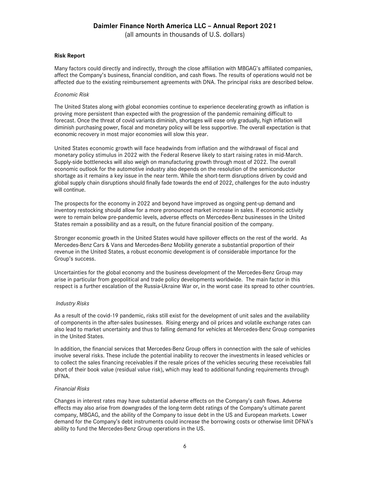(all amounts in thousands of U.S. dollars)

#### **Risk Report**

Many factors could directly and indirectly, through the close affiliation with MBGAG's affiliated companies, affect the Company's business, financial condition, and cash flows. The results of operations would not be affected due to the existing reimbursement agreements with DNA. The principal risks are described below.

#### *Economic Risk*

The United States along with global economies continue to experience decelerating growth as inflation is proving more persistent than expected with the progression of the pandemic remaining difficult to forecast. Once the threat of covid variants diminish, shortages will ease only gradually, high inflation will diminish purchasing power, fiscal and monetary policy will be less supportive. The overall expectation is that economic recovery in most major economies will slow this year.

United States economic growth will face headwinds from inflation and the withdrawal of fiscal and monetary policy stimulus in 2022 with the Federal Reserve likely to start raising rates in mid-March. Supply-side bottlenecks will also weigh on manufacturing growth through most of 2022. The overall economic outlook for the automotive industry also depends on the resolution of the semiconductor shortage as it remains a key issue in the near term. While the short-term disruptions driven by covid and global supply chain disruptions should finally fade towards the end of 2022, challenges for the auto industry will continue.

The prospects for the economy in 2022 and beyond have improved as ongoing pent-up demand and inventory restocking should allow for a more pronounced market increase in sales. If economic activity were to remain below pre-pandemic levels, adverse effects on Mercedes-Benz businesses in the United States remain a possibility and as a result, on the future financial position of the company.

Stronger economic growth in the United States would have spillover effects on the rest of the world. As Mercedes-Benz Cars & Vans and Mercedes-Benz Mobility generate a substantial proportion of their revenue in the United States, a robust economic development is of considerable importance for the Group's success.

Uncertainties for the global economy and the business development of the Mercedes-Benz Group may arise in particular from geopolitical and trade policy developments worldwide. The main factor in this respect is a further escalation of the Russia-Ukraine War or, in the worst case its spread to other countries.

#### *Industry Risks*

As a result of the covid-19 pandemic, risks still exist for the development of unit sales and the availability of components in the after-sales businesses. Rising energy and oil prices and volatile exchange rates can also lead to market uncertainty and thus to falling demand for vehicles at Mercedes-Benz Group companies in the United States.

In addition, the financial services that Mercedes-Benz Group offers in connection with the sale of vehicles involve several risks. These include the potential inability to recover the investments in leased vehicles or to collect the sales financing receivables if the resale prices of the vehicles securing these receivables fall short of their book value (residual value risk), which may lead to additional funding requirements through DFNA.

#### *Financial Risks*

Changes in interest rates may have substantial adverse effects on the Company's cash flows. Adverse effects may also arise from downgrades of the long-term debt ratings of the Company's ultimate parent company, MBGAG, and the ability of the Company to issue debt in the US and European markets. Lower demand for the Company's debt instruments could increase the borrowing costs or otherwise limit DFNA's ability to fund the Mercedes-Benz Group operations in the US.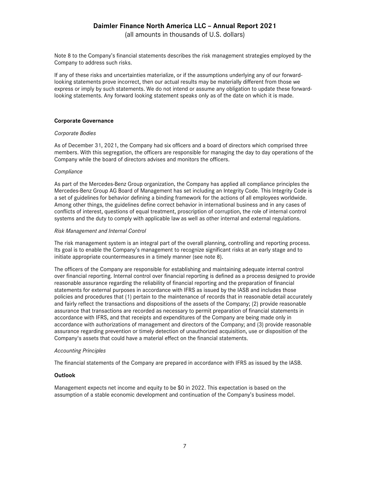(all amounts in thousands of U.S. dollars)

Note 8 to the Company's financial statements describes the risk management strategies employed by the Company to address such risks.

If any of these risks and uncertainties materialize, or if the assumptions underlying any of our forwardlooking statements prove incorrect, then our actual results may be materially different from those we express or imply by such statements. We do not intend or assume any obligation to update these forwardlooking statements. Any forward looking statement speaks only as of the date on which it is made.

#### **Corporate Governance**

#### *Corporate Bodies*

As of December 31, 2021, the Company had six officers and a board of directors which comprised three members. With this segregation, the officers are responsible for managing the day to day operations of the Company while the board of directors advises and monitors the officers.

#### *Compliance*

As part of the Mercedes-Benz Group organization, the Company has applied all compliance principles the Mercedes-Benz Group AG Board of Management has set including an Integrity Code. This Integrity Code is a set of guidelines for behavior defining a binding framework for the actions of all employees worldwide. Among other things, the guidelines define correct behavior in international business and in any cases of conflicts of interest, questions of equal treatment, proscription of corruption, the role of internal control systems and the duty to comply with applicable law as well as other internal and external regulations.

#### *Risk Management and Internal Control*

The risk management system is an integral part of the overall planning, controlling and reporting process. Its goal is to enable the Company's management to recognize significant risks at an early stage and to initiate appropriate countermeasures in a timely manner (see note 8).

The officers of the Company are responsible for establishing and maintaining adequate internal control over financial reporting. Internal control over financial reporting is defined as a process designed to provide reasonable assurance regarding the reliability of financial reporting and the preparation of financial statements for external purposes in accordance with IFRS as issued by the IASB and includes those policies and procedures that (1) pertain to the maintenance of records that in reasonable detail accurately and fairly reflect the transactions and dispositions of the assets of the Company; (2) provide reasonable assurance that transactions are recorded as necessary to permit preparation of financial statements in accordance with IFRS, and that receipts and expenditures of the Company are being made only in accordance with authorizations of management and directors of the Company; and (3) provide reasonable assurance regarding prevention or timely detection of unauthorized acquisition, use or disposition of the Company's assets that could have a material effect on the financial statements.

#### *Accounting Principles*

The financial statements of the Company are prepared in accordance with IFRS as issued by the IASB.

#### **Outlook**

Management expects net income and equity to be \$0 in 2022. This expectation is based on the assumption of a stable economic development and continuation of the Company's business model.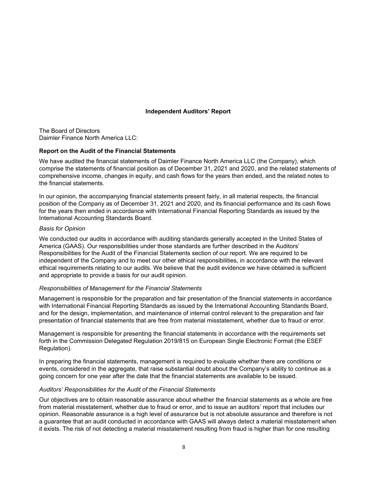#### **Independent Auditors' Report**

The Board of Directors Daimler Finance North America LLC:

#### **Report on the Audit of the Financial Statements**

We have audited the financial statements of Daimler Finance North America LLC (the Company), which comprise the statements of financial position as of December 31, 2021 and 2020, and the related statements of comprehensive income, changes in equity, and cash flows for the years then ended, and the related notes to the financial statements.

In our opinion, the accompanying financial statements present fairly, in all material respects, the financial position of the Company as of December 31, 2021 and 2020, and its financial performance and its cash flows for the years then ended in accordance with International Financial Reporting Standards as issued by the International Accounting Standards Board.

#### *Basis for Opinion*

We conducted our audits in accordance with auditing standards generally accepted in the United States of America (GAAS). Our responsibilities under those standards are further described in the Auditors' Responsibilities for the Audit of the Financial Statements section of our report. We are required to be independent of the Company and to meet our other ethical responsibilities, in accordance with the relevant ethical requirements relating to our audits. We believe that the audit evidence we have obtained is sufficient and appropriate to provide a basis for our audit opinion.

#### *Responsibilities of Management for the Financial Statements*

Management is responsible for the preparation and fair presentation of the financial statements in accordance with International Financial Reporting Standards as issued by the International Accounting Standards Board, and for the design, implementation, and maintenance of internal control relevant to the preparation and fair presentation of financial statements that are free from material misstatement, whether due to fraud or error.

Management is responsible for presenting the financial statements in accordance with the requirements set forth in the Commission Delegated Regulation 2019/815 on European Single Electronic Format (the ESEF Regulation).

In preparing the financial statements, management is required to evaluate whether there are conditions or events, considered in the aggregate, that raise substantial doubt about the Company's ability to continue as a going concern for one year after the date that the financial statements are available to be issued.

#### *Auditors' Responsibilities for the Audit of the Financial Statements*

Our objectives are to obtain reasonable assurance about whether the financial statements as a whole are free from material misstatement, whether due to fraud or error, and to issue an auditors' report that includes our opinion. Reasonable assurance is a high level of assurance but is not absolute assurance and therefore is not a guarantee that an audit conducted in accordance with GAAS will always detect a material misstatement when it exists. The risk of not detecting a material misstatement resulting from fraud is higher than for one resulting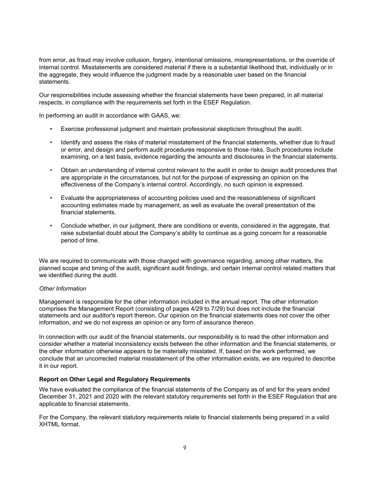from error, as fraud may involve collusion, forgery, intentional omissions, misrepresentations, or the override of internal control. Misstatements are considered material if there is a substantial likelihood that, individually or in the aggregate, they would influence the judgment made by a reasonable user based on the financial statements.

Our responsibilities include assessing whether the financial statements have been prepared, in all material respects, in compliance with the requirements set forth in the ESEF Regulation.

In performing an audit in accordance with GAAS, we:

- Exercise professional judgment and maintain professional skepticism throughout the audit.
- Identify and assess the risks of material misstatement of the financial statements, whether due to fraud or error, and design and perform audit procedures responsive to those risks. Such procedures include examining, on a test basis, evidence regarding the amounts and disclosures in the financial statements.
- Obtain an understanding of internal control relevant to the audit in order to design audit procedures that are appropriate in the circumstances, but not for the purpose of expressing an opinion on the effectiveness of the Company's internal control. Accordingly, no such opinion is expressed.
- Evaluate the appropriateness of accounting policies used and the reasonableness of significant accounting estimates made by management, as well as evaluate the overall presentation of the financial statements.
- Conclude whether, in our judgment, there are conditions or events, considered in the aggregate, that raise substantial doubt about the Company's ability to continue as a going concern for a reasonable period of time.

We are required to communicate with those charged with governance regarding, among other matters, the planned scope and timing of the audit, significant audit findings, and certain internal control related matters that we identified during the audit.

#### *Other Information*

Management is responsible for the other information included in the annual report. The other information comprises the Management Report (consisting of pages 4/29 to 7/29) but does not include the financial statements and our auditor's report thereon. Our opinion on the financial statements does not cover the other information, and we do not express an opinion or any form of assurance thereon.

In connection with our audit of the financial statements, our responsibility is to read the other information and consider whether a material inconsistency exists between the other information and the financial statements, or the other information otherwise appears to be materially misstated. If, based on the work performed, we conclude that an uncorrected material misstatement of the other information exists, we are required to describe it in our report.

### **Report on Other Legal and Regulatory Requirements**

We have evaluated the compliance of the financial statements of the Company as of and for the years ended December 31, 2021 and 2020 with the relevant statutory requirements set forth in the ESEF Regulation that are applicable to financial statements.

For the Company, the relevant statutory requirements relate to financial statements being prepared in a valid XHTML format.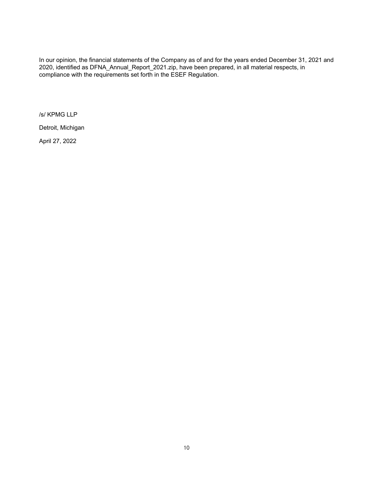In our opinion, the financial statements of the Company as of and for the years ended December 31, 2021 and 2020, identified as DFNA\_Annual\_Report\_2021.zip, have been prepared, in all material respects, in compliance with the requirements set forth in the ESEF Regulation.

/s/ KPMG LLP

Detroit, Michigan

April 27, 2022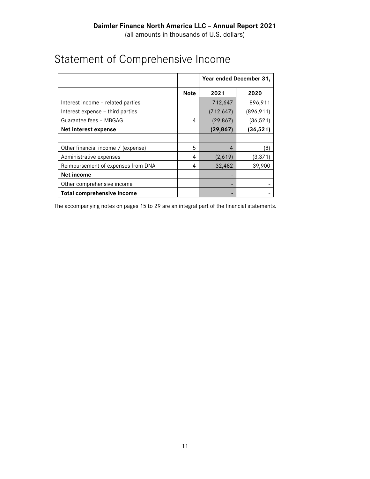|                                    |             | Year ended December 31, |            |  |
|------------------------------------|-------------|-------------------------|------------|--|
|                                    | <b>Note</b> | 2021                    | 2020       |  |
| Interest income - related parties  |             | 712,647                 | 896,911    |  |
| Interest expense - third parties   |             | (712, 647)              | (896, 911) |  |
| Guarantee fees - MBGAG             | 4           | (29, 867)               | (36,521)   |  |
| Net interest expense               |             | (29, 867)               | (36, 521)  |  |
|                                    |             |                         |            |  |
| Other financial income / (expense) | 5           | 4                       | (8)        |  |
| Administrative expenses            | 4           | (2,619)                 | (3,371)    |  |
| Reimbursement of expenses from DNA | 4           | 32,482                  | 39,900     |  |
| Net income                         |             |                         |            |  |
| Other comprehensive income         |             |                         |            |  |
| <b>Total comprehensive income</b>  |             |                         |            |  |

## Statement of Comprehensive Income

The accompanying notes on pages 15 to 29 are an integral part of the financial statements.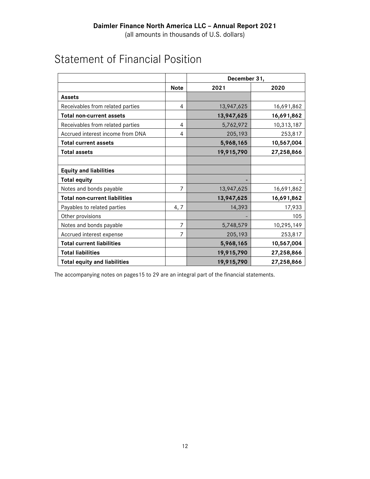|                                      |                | December 31, |            |  |
|--------------------------------------|----------------|--------------|------------|--|
|                                      | <b>Note</b>    | 2021         | 2020       |  |
| <b>Assets</b>                        |                |              |            |  |
| Receivables from related parties     | 4              | 13,947,625   | 16,691,862 |  |
| <b>Total non-current assets</b>      |                | 13,947,625   | 16,691,862 |  |
| Receivables from related parties     | 4              | 5,762,972    | 10,313,187 |  |
| Accrued interest income from DNA     | 4              | 205,193      | 253,817    |  |
| <b>Total current assets</b>          |                | 5,968,165    | 10,567,004 |  |
| <b>Total assets</b>                  |                | 19,915,790   | 27,258,866 |  |
|                                      |                |              |            |  |
| <b>Equity and liabilities</b>        |                |              |            |  |
| <b>Total equity</b>                  |                |              |            |  |
| Notes and bonds payable              | 7              | 13,947,625   | 16,691,862 |  |
| <b>Total non-current liabilities</b> |                | 13,947,625   | 16,691,862 |  |
| Payables to related parties          | 4,7            | 14,393       | 17,933     |  |
| Other provisions                     |                |              | 105        |  |
| Notes and bonds payable              | $\overline{7}$ | 5,748,579    | 10,295,149 |  |
| Accrued interest expense             | 7              | 205,193      | 253,817    |  |
| <b>Total current liabilities</b>     |                | 5,968,165    | 10,567,004 |  |
| <b>Total liabilities</b>             |                | 19,915,790   | 27,258,866 |  |
| <b>Total equity and liabilities</b>  |                | 19,915,790   | 27,258,866 |  |

## Statement of Financial Position

The accompanying notes on pages15 to 29 are an integral part of the financial statements.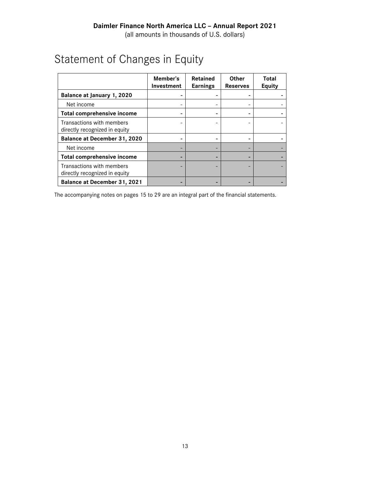## Statement of Changes in Equity

|                                                            | Member's<br>Investment | <b>Retained</b><br><b>Earnings</b> | <b>Other</b><br><b>Reserves</b> | Total<br><b>Equity</b> |
|------------------------------------------------------------|------------------------|------------------------------------|---------------------------------|------------------------|
| Balance at January 1, 2020                                 |                        |                                    |                                 |                        |
| Net income                                                 |                        |                                    |                                 |                        |
| <b>Total comprehensive income</b>                          |                        |                                    |                                 |                        |
| Transactions with members<br>directly recognized in equity |                        |                                    |                                 |                        |
| Balance at December 31, 2020                               |                        |                                    |                                 |                        |
| Net income                                                 |                        |                                    |                                 |                        |
| <b>Total comprehensive income</b>                          |                        |                                    |                                 |                        |
| Transactions with members<br>directly recognized in equity |                        |                                    |                                 |                        |
| Balance at December 31, 2021                               |                        |                                    |                                 |                        |

The accompanying notes on pages 15 to 29 are an integral part of the financial statements.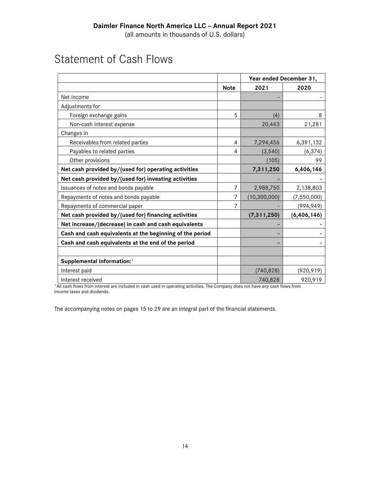## Statement of Cash Flows

|                                                          |             | Year ended December 31, |               |
|----------------------------------------------------------|-------------|-------------------------|---------------|
|                                                          | <b>Note</b> | 2021                    | 2020          |
| Net income                                               |             |                         |               |
| Adjustments for                                          |             |                         |               |
| Foreign exchange gains                                   | 5           | (4)                     | 8             |
| Non-cash interest expense                                |             | 20,443                  | 21,281        |
| Changes in                                               |             |                         |               |
| Receivables from related parties                         | 4           | 7,294,456               | 6,391,132     |
| Payables to related parties                              | 4           | (3, 540)                | (6, 374)      |
| Other provisions                                         |             | (105)                   | 99            |
| Net cash provided by/(used for) operating activities     |             | 7,311,250               | 6,406,146     |
| Net cash provided by/(used for) investing activities     |             |                         |               |
| Issuances of notes and bonds payable                     | 7           | 2,988,750               | 2,138,803     |
| Repayments of notes and bonds payable                    | 7           | (10, 300, 000)          | (7, 550, 000) |
| Repayments of commercial paper                           | 7           |                         | (994, 949)    |
| Net cash provided by/(used for) financing activities     |             | (7, 311, 250)           | (6, 406, 146) |
| Net increase/(decrease) in cash and cash equivalents     |             |                         |               |
| Cash and cash equivalents at the beginning of the period |             |                         |               |
| Cash and cash equivalents at the end of the period       |             |                         |               |
|                                                          |             |                         |               |
| Supplemental information: <sup>1</sup>                   |             |                         |               |
| Interest paid                                            |             | (740, 828)              | (920, 919)    |
| Interest received                                        |             | 740,828                 | 920,919       |

<sup>1</sup> All cash flows from interest are included in cash used in operating activities. The Company does not have any cash flows from income taxes and dividends.

The accompanying notes on pages 15 to 29 are an integral part of the financial statements.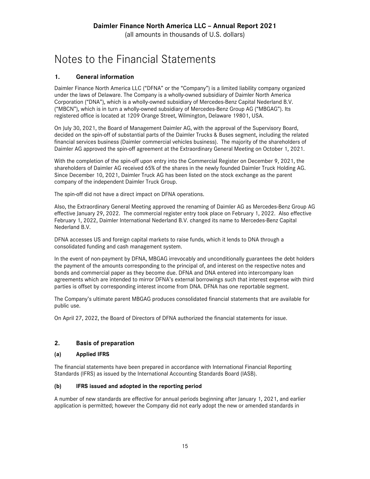## Notes to the Financial Statements

## **1. General information**

Daimler Finance North America LLC ("DFNA" or the "Company") is a limited liability company organized under the laws of Delaware. The Company is a wholly-owned subsidiary of Daimler North America Corporation ("DNA"), which is a wholly-owned subsidiary of Mercedes-Benz Capital Nederland B.V. ("MBCN"), which is in turn a wholly-owned subsidiary of Mercedes-Benz Group AG ("MBGAG"). Its registered office is located at 1209 Orange Street, Wilmington, Delaware 19801, USA.

On July 30, 2021, the Board of Management Daimler AG, with the approval of the Supervisory Board, decided on the spin-off of substantial parts of the Daimler Trucks & Buses segment, including the related financial services business (Daimler commercial vehicles business). The majority of the shareholders of Daimler AG approved the spin-off agreement at the Extraordinary General Meeting on October 1, 2021.

With the completion of the spin-off upon entry into the Commercial Register on December 9, 2021, the shareholders of Daimler AG received 65% of the shares in the newly founded Daimler Truck Holding AG. Since December 10, 2021, Daimler Truck AG has been listed on the stock exchange as the parent company of the independent Daimler Truck Group.

The spin-off did not have a direct impact on DFNA operations.

Also, the Extraordinary General Meeting approved the renaming of Daimler AG as Mercedes-Benz Group AG effective January 29, 2022. The commercial register entry took place on February 1, 2022. Also effective February 1, 2022, Daimler International Nederland B.V. changed its name to Mercedes-Benz Capital Nederland B.V.

DFNA accesses US and foreign capital markets to raise funds, which it lends to DNA through a consolidated funding and cash management system.

In the event of non-payment by DFNA, MBGAG irrevocably and unconditionally guarantees the debt holders the payment of the amounts corresponding to the principal of, and interest on the respective notes and bonds and commercial paper as they become due. DFNA and DNA entered into intercompany loan agreements which are intended to mirror DFNA's external borrowings such that interest expense with third parties is offset by corresponding interest income from DNA. DFNA has one reportable segment.

The Company's ultimate parent MBGAG produces consolidated financial statements that are available for public use.

On April 27, 2022, the Board of Directors of DFNA authorized the financial statements for issue.

## **2. Basis of preparation**

### **(a) Applied IFRS**

The financial statements have been prepared in accordance with International Financial Reporting Standards (IFRS) as issued by the International Accounting Standards Board (IASB).

### **(b) IFRS issued and adopted in the reporting period**

A number of new standards are effective for annual periods beginning after January 1, 2021, and earlier application is permitted; however the Company did not early adopt the new or amended standards in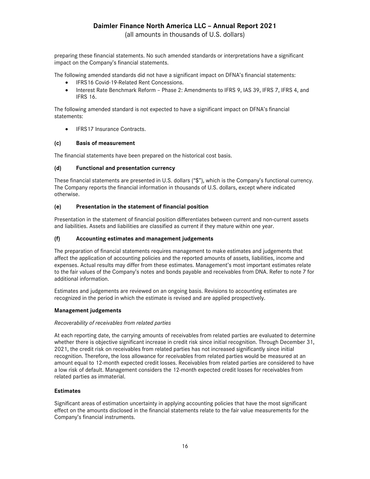(all amounts in thousands of U.S. dollars)

preparing these financial statements. No such amended standards or interpretations have a significant impact on the Company's financial statements.

The following amended standards did not have a significant impact on DFNA's financial statements:

- **•** IFRS16 Covid-19-Related Rent Concessions.
- Interest Rate Benchmark Reform Phase 2: Amendments to IFRS 9, IAS 39, IFRS 7, IFRS 4, and IFRS 16.

The following amended standard is not expected to have a significant impact on DFNA's financial statements:

• IFRS17 Insurance Contracts.

#### **(c) Basis of measurement**

The financial statements have been prepared on the historical cost basis.

#### **(d) Functional and presentation currency**

These financial statements are presented in U.S. dollars ("\$"), which is the Company's functional currency. The Company reports the financial information in thousands of U.S. dollars, except where indicated otherwise.

#### **(e) Presentation in the statement of financial position**

Presentation in the statement of financial position differentiates between current and non-current assets and liabilities. Assets and liabilities are classified as current if they mature within one year.

#### **(f) Accounting estimates and management judgements**

The preparation of financial statements requires management to make estimates and judgements that affect the application of accounting policies and the reported amounts of assets, liabilities, income and expenses. Actual results may differ from these estimates. Management's most important estimates relate to the fair values of the Company's notes and bonds payable and receivables from DNA. Refer to note 7 for additional information.

Estimates and judgements are reviewed on an ongoing basis. Revisions to accounting estimates are recognized in the period in which the estimate is revised and are applied prospectively.

#### **Management judgements**

#### *Recoverability of receivables from related parties*

At each reporting date, the carrying amounts of receivables from related parties are evaluated to determine whether there is objective significant increase in credit risk since initial recognition. Through December 31, 2021, the credit risk on receivables from related parties has not increased significantly since initial recognition. Therefore, the loss allowance for receivables from related parties would be measured at an amount equal to 12-month expected credit losses. Receivables from related parties are considered to have a low risk of default. Management considers the 12-month expected credit losses for receivables from related parties as immaterial.

#### **Estimates**

Significant areas of estimation uncertainty in applying accounting policies that have the most significant effect on the amounts disclosed in the financial statements relate to the fair value measurements for the Company's financial instruments.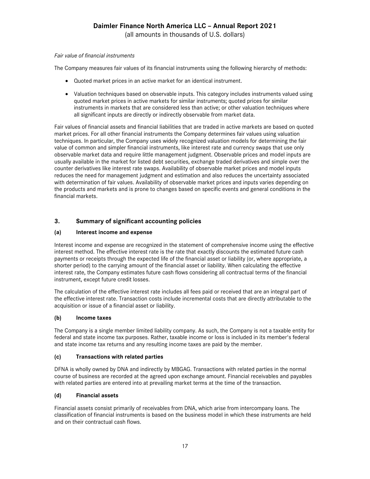(all amounts in thousands of U.S. dollars)

#### *Fair value of financial instruments*

The Company measures fair values of its financial instruments using the following hierarchy of methods:

- Quoted market prices in an active market for an identical instrument.
- Valuation techniques based on observable inputs. This category includes instruments valued using quoted market prices in active markets for similar instruments; quoted prices for similar instruments in markets that are considered less than active; or other valuation techniques where all significant inputs are directly or indirectly observable from market data.

Fair values of financial assets and financial liabilities that are traded in active markets are based on quoted market prices. For all other financial instruments the Company determines fair values using valuation techniques. In particular, the Company uses widely recognized valuation models for determining the fair value of common and simpler financial instruments, like interest rate and currency swaps that use only observable market data and require little management judgment. Observable prices and model inputs are usually available in the market for listed debt securities, exchange traded derivatives and simple over the counter derivatives like interest rate swaps. Availability of observable market prices and model inputs reduces the need for management judgment and estimation and also reduces the uncertainty associated with determination of fair values. Availability of observable market prices and inputs varies depending on the products and markets and is prone to changes based on specific events and general conditions in the financial markets.

## **3. Summary of significant accounting policies**

#### **(a) Interest income and expense**

Interest income and expense are recognized in the statement of comprehensive income using the effective interest method. The effective interest rate is the rate that exactly discounts the estimated future cash payments or receipts through the expected life of the financial asset or liability (or, where appropriate, a shorter period) to the carrying amount of the financial asset or liability. When calculating the effective interest rate, the Company estimates future cash flows considering all contractual terms of the financial instrument, except future credit losses.

The calculation of the effective interest rate includes all fees paid or received that are an integral part of the effective interest rate. Transaction costs include incremental costs that are directly attributable to the acquisition or issue of a financial asset or liability.

#### **(b) Income taxes**

The Company is a single member limited liability company. As such, the Company is not a taxable entity for federal and state income tax purposes. Rather, taxable income or loss is included in its member's federal and state income tax returns and any resulting income taxes are paid by the member.

#### **(c) Transactions with related parties**

DFNA is wholly owned by DNA and indirectly by MBGAG. Transactions with related parties in the normal course of business are recorded at the agreed upon exchange amount. Financial receivables and payables with related parties are entered into at prevailing market terms at the time of the transaction.

#### **(d) Financial assets**

Financial assets consist primarily of receivables from DNA, which arise from intercompany loans. The classification of financial instruments is based on the business model in which these instruments are held and on their contractual cash flows.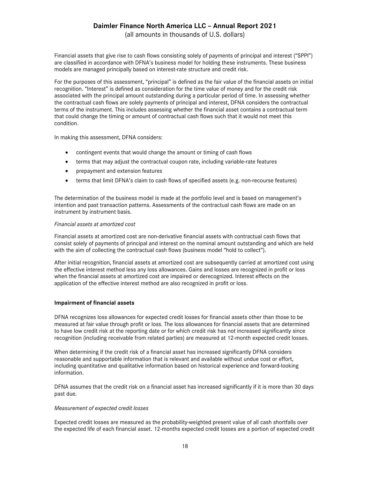(all amounts in thousands of U.S. dollars)

Financial assets that give rise to cash flows consisting solely of payments of principal and interest ("SPPI") are classified in accordance with DFNA's business model for holding these instruments. These business models are managed principally based on interest-rate structure and credit risk.

For the purposes of this assessment, "principal" is defined as the fair value of the financial assets on initial recognition. "Interest" is defined as consideration for the time value of money and for the credit risk associated with the principal amount outstanding during a particular period of time. In assessing whether the contractual cash flows are solely payments of principal and interest, DFNA considers the contractual terms of the instrument. This includes assessing whether the financial asset contains a contractual term that could change the timing or amount of contractual cash flows such that it would not meet this condition.

In making this assessment, DFNA considers:

- contingent events that would change the amount or timing of cash flows
- terms that may adjust the contractual coupon rate, including variable-rate features
- prepayment and extension features
- terms that limit DFNA's claim to cash flows of specified assets (e.g. non-recourse features)

The determination of the business model is made at the portfolio level and is based on management's intention and past transaction patterns. Assessments of the contractual cash flows are made on an instrument by instrument basis.

#### *Financial assets at amortized cost*

Financial assets at amortized cost are non-derivative financial assets with contractual cash flows that consist solely of payments of principal and interest on the nominal amount outstanding and which are held with the aim of collecting the contractual cash flows (business model "hold to collect").

After initial recognition, financial assets at amortized cost are subsequently carried at amortized cost using the effective interest method less any loss allowances. Gains and losses are recognized in profit or loss when the financial assets at amortized cost are impaired or derecognized. Interest effects on the application of the effective interest method are also recognized in profit or loss.

#### **Impairment of financial assets**

DFNA recognizes loss allowances for expected credit losses for financial assets other than those to be measured at fair value through profit or loss. The loss allowances for financial assets that are determined to have low credit risk at the reporting date or for which credit risk has not increased significantly since recognition (including receivable from related parties) are measured at 12-month expected credit losses.

When determining if the credit risk of a financial asset has increased significantly DFNA considers reasonable and supportable information that is relevant and available without undue cost or effort, including quantitative and qualitative information based on historical experience and forward-looking information.

DFNA assumes that the credit risk on a financial asset has increased significantly if it is more than 30 days past due.

#### *Measurement of expected credit losses*

Expected credit losses are measured as the probability-weighted present value of all cash shortfalls over the expected life of each financial asset. 12-months expected credit losses are a portion of expected credit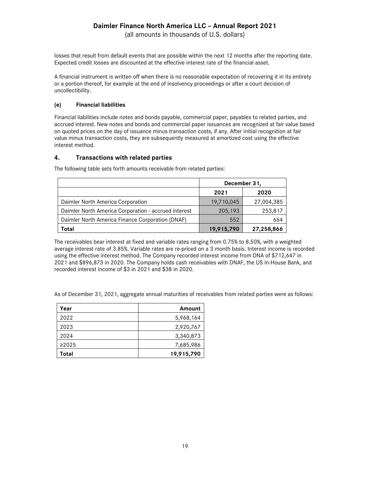(all amounts in thousands of U.S. dollars)

losses that result from default events that are possible within the next 12 months after the reporting date. Expected credit losses are discounted at the effective interest rate of the financial asset.

A financial instrument is written off when there is no reasonable expectation of recovering it in its entirety or a portion thereof, for example at the end of insolvency proceedings or after a court decision of uncollectibility.

#### **(e) Financial liabilities**

Financial liabilities include notes and bonds payable, commercial paper, payables to related parties, and accrued interest. New notes and bonds and commercial paper issuances are recognized at fair value based on quoted prices on the day of issuance minus transaction costs, if any. After initial recognition at fair value minus transaction costs, they are subsequently measured at amortized cost using the effective interest method.

#### **4. Transactions with related parties**

|                                                      | December 31 |            |  |
|------------------------------------------------------|-------------|------------|--|
|                                                      | 2021        | 2020       |  |
| Daimler North America Corporation                    | 19,710,045  | 27,004,385 |  |
| Daimler North America Corporation - accrued interest | 205,193     | 253,817    |  |
| Daimler North America Finance Corporation (DNAF)     | 552         | 664        |  |
| Total                                                | 19,915,790  | 27,258,866 |  |

The following table sets forth amounts receivable from related parties:

The receivables bear interest at fixed and variable rates ranging from 0.75% to 8.50%, with a weighted average interest rate of 3.85%. Variable rates are re-priced on a 3 month basis. Interest income is recorded using the effective interest method. The Company recorded interest income from DNA of \$712,647 in 2021 and \$896,873 in 2020. The Company holds cash receivables with DNAF, the US In-House Bank, and recorded interest income of \$3 in 2021 and \$38 in 2020.

As of December 31, 2021, aggregate annual maturities of receivables from related parties were as follows:

| Year        | Amount     |
|-------------|------------|
| 2022        | 5,968,164  |
| 2023        | 2,920,767  |
| 2024        | 3,340,873  |
| $\geq 2025$ | 7,685,986  |
| Total       | 19,915,790 |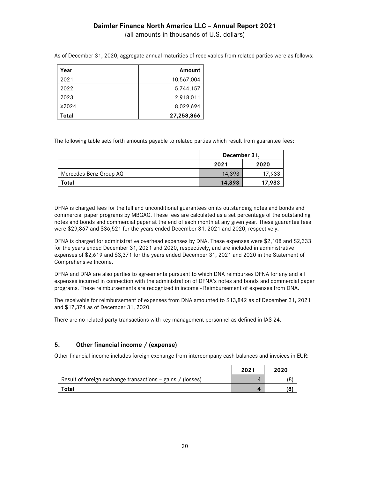(all amounts in thousands of U.S. dollars)

| Year        | Amount     |
|-------------|------------|
| 2021        | 10,567,004 |
| 2022        | 5,744,157  |
| 2023        | 2,918,011  |
| $\geq$ 2024 | 8,029,694  |
| Total       | 27,258,866 |

As of December 31, 2020, aggregate annual maturities of receivables from related parties were as follows:

The following table sets forth amounts payable to related parties which result from guarantee fees:

|                        | December 31, |        |
|------------------------|--------------|--------|
|                        | 2021         | 2020   |
| Mercedes-Benz Group AG | 14,393       | 17,933 |
| Total                  | 14,393       | 17.933 |

DFNA is charged fees for the full and unconditional guarantees on its outstanding notes and bonds and commercial paper programs by MBGAG. These fees are calculated as a set percentage of the outstanding notes and bonds and commercial paper at the end of each month at any given year. These guarantee fees were \$29,867 and \$36,521 for the years ended December 31, 2021 and 2020, respectively.

DFNA is charged for administrative overhead expenses by DNA. These expenses were \$2,108 and \$2,333 for the years ended December 31, 2021 and 2020, respectively, and are included in administrative expenses of \$2,619 and \$3,371 for the years ended December 31, 2021 and 2020 in the Statement of Comprehensive Income.

DFNA and DNA are also parties to agreements pursuant to which DNA reimburses DFNA for any and all expenses incurred in connection with the administration of DFNA's notes and bonds and commercial paper programs. These reimbursements are recognized in income - Reimbursement of expenses from DNA.

The receivable for reimbursement of expenses from DNA amounted to \$13,842 as of December 31, 2021 and \$17,374 as of December 31, 2020.

There are no related party transactions with key management personnel as defined in IAS 24.

### **5. Other financial income / (expense)**

Other financial income includes foreign exchange from intercompany cash balances and invoices in EUR:

|                                                            | 2021 | 2020     |
|------------------------------------------------------------|------|----------|
| Result of foreign exchange transactions - gains / (losses) |      | (8)      |
| Total                                                      |      | ۱ס′<br>o |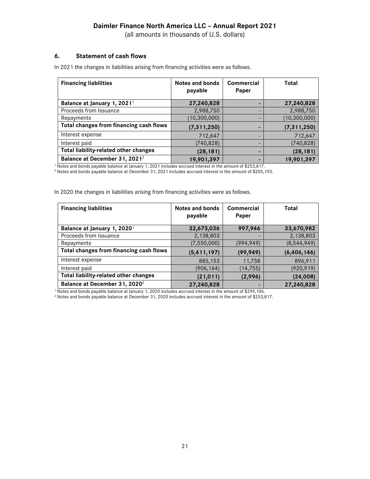(all amounts in thousands of U.S. dollars)

#### **6. Statement of cash flows**

| <b>Financing liabilities</b>                 | Notes and bonds<br>payable | Commercial<br>Paper | Total          |
|----------------------------------------------|----------------------------|---------------------|----------------|
| Balance at January 1, 2021 <sup>1</sup>      | 27,240,828                 |                     | 27,240,828     |
| Proceeds from Issuance                       | 2,988,750                  |                     | 2,988,750      |
| Repayments                                   | (10, 300, 000)             |                     | (10, 300, 000) |
| Total changes from financing cash flows      | (7, 311, 250)              |                     | (7, 311, 250)  |
| Interest expense                             | 712,647                    |                     | 712,647        |
| Interest paid                                | (740,828)                  |                     | (740, 828)     |
| <b>Total liability-related other changes</b> | (28, 181)                  |                     | (28,181)       |
| Balance at December 31, 2021 <sup>2</sup>    | 19,901,397                 |                     | 19,901,397     |

In 2021 the changes in liabilities arising from financing activities were as follows.

<sup>1</sup> Notes and bonds payable balance at January 1, 2021 includes accrued interest in the amount of \$253,817.<br><sup>2</sup> Notes and bonds payable balance at December 31, 2021 includes accrued interest in the amount of \$205,193.

In 2020 the changes in liabilities arising from financing activities were as follows.

| <b>Financing liabilities</b>                 | <b>Notes and bonds</b><br>payable | Commercial<br>Paper | <b>Total</b>  |
|----------------------------------------------|-----------------------------------|---------------------|---------------|
| Balance at January 1, 2020 <sup>1</sup>      | 32,673,036                        | 997,946             | 33,670,982    |
| Proceeds from Issuance                       | 2,138,803                         |                     | 2,138,803     |
| Repayments                                   | (7, 550, 000)                     | (994,949)           | (8, 544, 949) |
| Total changes from financing cash flows      | (5, 411, 197)                     | (99, 949)           | (6,406,146)   |
| Interest expense                             | 885,153                           | 11,758              | 896,911       |
| Interest paid                                | (906,164)                         | 14,755)             | (920, 919)    |
| <b>Total liability-related other changes</b> | (21,011)                          | (2,996)             | (24,008)      |
| Balance at December 31, 2020 <sup>2</sup>    | 27,240,828                        |                     | 27,240,828    |

1 Notes and bonds payable balance at January 1, 2020 includes accrued interest in the amount of \$299,106. 2 Notes and bonds payable balance at December 31, 2020 includes accrued interest in the amount of \$253,817.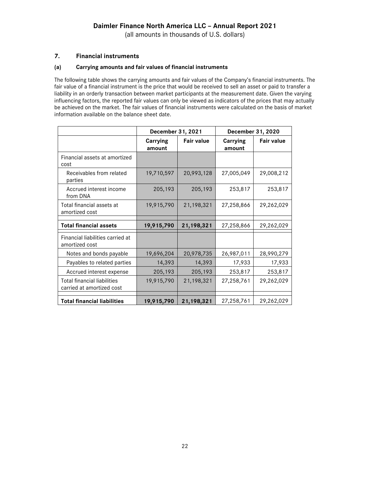(all amounts in thousands of U.S. dollars)

### **7. Financial instruments**

#### **(a) Carrying amounts and fair values of financial instruments**

The following table shows the carrying amounts and fair values of the Company's financial instruments. The fair value of a financial instrument is the price that would be received to sell an asset or paid to transfer a liability in an orderly transaction between market participants at the measurement date. Given the varying influencing factors, the reported fair values can only be viewed as indicators of the prices that may actually be achieved on the market. The fair values of financial instruments were calculated on the basis of market information available on the balance sheet date.

|                                                                 | December 31, 2021         |                   |                           | December 31, 2020 |
|-----------------------------------------------------------------|---------------------------|-------------------|---------------------------|-------------------|
|                                                                 | <b>Carrying</b><br>amount | <b>Fair value</b> | <b>Carrying</b><br>amount | <b>Fair value</b> |
| Financial assets at amortized<br>cost                           |                           |                   |                           |                   |
| Receivables from related<br>parties                             | 19,710,597                | 20,993,128        | 27,005,049                | 29,008,212        |
| Accrued interest income<br>from DNA                             | 205,193                   | 205,193           | 253,817                   | 253,817           |
| Total financial assets at<br>amortized cost                     | 19,915,790                | 21,198,321        | 27,258,866                | 29,262,029        |
| <b>Total financial assets</b>                                   | 19,915,790                | 21,198,321        | 27,258,866                | 29,262,029        |
| Financial liabilities carried at<br>amortized cost              |                           |                   |                           |                   |
| Notes and bonds payable                                         | 19,696,204                | 20,978,735        | 26,987,011                | 28,990,279        |
| Payables to related parties                                     | 14,393                    | 14,393            | 17,933                    | 17,933            |
| Accrued interest expense                                        | 205,193                   | 205,193           | 253,817                   | 253,817           |
| <b>Total financial liabilities</b><br>carried at amortized cost | 19,915,790                | 21,198,321        | 27,258,761                | 29,262,029        |
| <b>Total financial liabilities</b>                              | 19,915,790                | 21,198,321        | 27,258,761                | 29,262,029        |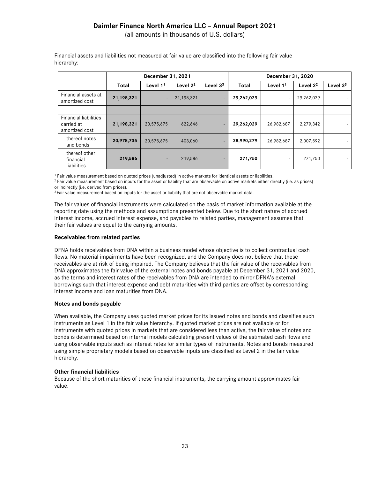(all amounts in thousands of U.S. dollars)

|                                                              | December 31, 2021 |                          |                      |                          | December 31, 2020 |                          |                      |            |
|--------------------------------------------------------------|-------------------|--------------------------|----------------------|--------------------------|-------------------|--------------------------|----------------------|------------|
|                                                              | <b>Total</b>      | Level $11$               | Level 2 <sup>2</sup> | Level $33$               | <b>Total</b>      | Level $11$               | Level 2 <sup>2</sup> | Level $33$ |
| Financial assets at<br>amortized cost                        | 21,198,321        | $\overline{\phantom{a}}$ | 21,198,321           | $\sim$                   | 29,262,029        | $\overline{\phantom{0}}$ | 29,262,029           |            |
|                                                              |                   |                          |                      |                          |                   |                          |                      |            |
| <b>Financial liabilities</b><br>carried at<br>amortized cost | 21,198,321        | 20,575,675               | 622,646              | $\overline{\phantom{a}}$ | 29,262,029        | 26,982,687               | 2,279,342            |            |
| thereof notes<br>and bonds                                   | 20,978,735        | 20,575,675               | 403,060              | -                        | 28,990,279        | 26,982,687               | 2,007,592            |            |
| thereof other<br>financial<br>liabilities                    | 219,586           | $\overline{\phantom{a}}$ | 219,586              | -                        | 271,750           | $\overline{\phantom{0}}$ | 271,750              |            |

Financial assets and liabilities not measured at fair value are classified into the following fair value hierarchy:

 $^1$  Fair value measurement based on quoted prices (unadjusted) in active markets for identical assets or liabilities.<br><sup>2</sup> Fair value measurement based on inputs for the asset or liability that are observable on active ma or indirectly (i.e. derived from prices).

<sup>3</sup> Fair value measurement based on inputs for the asset or liability that are not observable market data.

The fair values of financial instruments were calculated on the basis of market information available at the reporting date using the methods and assumptions presented below. Due to the short nature of accrued interest income, accrued interest expense, and payables to related parties, management assumes that their fair values are equal to the carrying amounts.

#### **Receivables from related parties**

DFNA holds receivables from DNA within a business model whose objective is to collect contractual cash flows. No material impairments have been recognized, and the Company does not believe that these receivables are at risk of being impaired. The Company believes that the fair value of the receivables from DNA approximates the fair value of the external notes and bonds payable at December 31, 2021 and 2020, as the terms and interest rates of the receivables from DNA are intended to mirror DFNA's external borrowings such that interest expense and debt maturities with third parties are offset by corresponding interest income and loan maturities from DNA.

#### **Notes and bonds payable**

When available, the Company uses quoted market prices for its issued notes and bonds and classifies such instruments as Level 1 in the fair value hierarchy. If quoted market prices are not available or for instruments with quoted prices in markets that are considered less than active, the fair value of notes and bonds is determined based on internal models calculating present values of the estimated cash flows and using observable inputs such as interest rates for similar types of instruments. Notes and bonds measured using simple proprietary models based on observable inputs are classified as Level 2 in the fair value hierarchy.

#### **Other financial liabilities**

Because of the short maturities of these financial instruments, the carrying amount approximates fair value.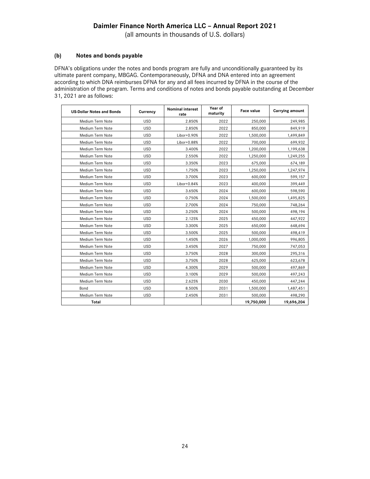(all amounts in thousands of U.S. dollars)

#### **(b) Notes and bonds payable**

DFNA's obligations under the notes and bonds program are fully and unconditionally guaranteed by its ultimate parent company, MBGAG. Contemporaneously, DFNA and DNA entered into an agreement according to which DNA reimburses DFNA for any and all fees incurred by DFNA in the course of the administration of the program. Terms and conditions of notes and bonds payable outstanding at December 31, 2021 are as follows:

| <b>US-Dollar Notes and Bonds</b> | Currency   | <b>Nominal interest</b><br>rate | Year of<br>maturity | Face value | Carrying amount |
|----------------------------------|------------|---------------------------------|---------------------|------------|-----------------|
| Medium Term Note                 | <b>USD</b> | 2.850%                          | 2022                | 250,000    | 249,985         |
| Medium Term Note                 | <b>USD</b> | 2.850%                          | 2022                | 850,000    | 849,919         |
| Medium Term Note                 | <b>USD</b> | Libor+0.90%                     | 2022                | 1,500,000  | 1,499,849       |
| Medium Term Note                 | <b>USD</b> | Libor+0.88%                     | 2022                | 700,000    | 699,932         |
| Medium Term Note                 | <b>USD</b> | 3.400%                          | 2022                | 1,200,000  | 1,199,638       |
| Medium Term Note                 | <b>USD</b> | 2.550%                          | 2022                | 1,250,000  | 1,249,255       |
| Medium Term Note                 | <b>USD</b> | 3.350%                          | 2023                | 675,000    | 674,189         |
| Medium Term Note                 | <b>USD</b> | 1.750%                          | 2023                | 1,250,000  | 1,247,974       |
| Medium Term Note                 | <b>USD</b> | 3.700%                          | 2023                | 600,000    | 599,157         |
| Medium Term Note                 | <b>USD</b> | Libor+0.84%                     | 2023                | 400,000    | 399,449         |
| Medium Term Note                 | <b>USD</b> | 3.650%                          | 2024                | 600,000    | 598,590         |
| Medium Term Note                 | <b>USD</b> | 0.750%                          | 2024                | 1,500,000  | 1,495,825       |
| Medium Term Note                 | <b>USD</b> | 2.700%                          | 2024                | 750,000    | 748,264         |
| Medium Term Note                 | <b>USD</b> | 3.250%                          | 2024                | 500,000    | 498,194         |
| Medium Term Note                 | <b>USD</b> | 2.125%                          | 2025                | 450,000    | 447,922         |
| Medium Term Note                 | <b>USD</b> | 3.300%                          | 2025                | 650,000    | 648,694         |
| Medium Term Note                 | <b>USD</b> | 3.500%                          | 2025                | 500,000    | 498,419         |
| Medium Term Note                 | <b>USD</b> | 1.450%                          | 2026                | 1,000,000  | 996,805         |
| Medium Term Note                 | <b>USD</b> | 3.450%                          | 2027                | 750,000    | 747,053         |
| Medium Term Note                 | <b>USD</b> | 3.750%                          | 2028                | 300,000    | 295,316         |
| Medium Term Note                 | <b>USD</b> | 3.750%                          | 2028                | 625,000    | 623,678         |
| Medium Term Note                 | <b>USD</b> | 4.300%                          | 2029                | 500,000    | 497,869         |
| Medium Term Note                 | <b>USD</b> | 3.100%                          | 2029                | 500,000    | 497,243         |
| Medium Term Note                 | <b>USD</b> | 2.625%                          | 2030                | 450,000    | 447,244         |
| Bond                             | <b>USD</b> | 8.500%                          | 2031                | 1,500,000  | 1,487,451       |
| Medium Term Note                 | <b>USD</b> | 2.450%                          | 2031                | 500,000    | 498,290         |
| Total                            |            |                                 |                     | 19,750,000 | 19,696,204      |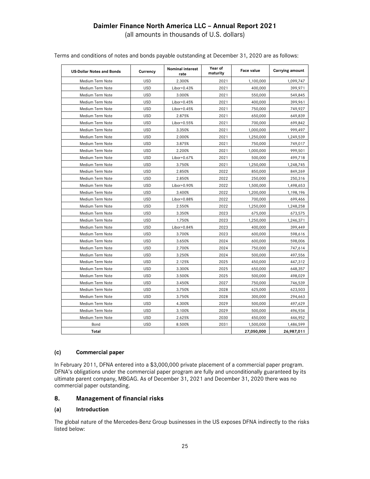(all amounts in thousands of U.S. dollars)

| <b>US-Dollar Notes and Bonds</b> | Currency   | <b>Nominal interest</b><br>rate | Year of<br>maturity | <b>Face value</b> | Carrying amount |
|----------------------------------|------------|---------------------------------|---------------------|-------------------|-----------------|
| Medium Term Note                 | <b>USD</b> | 2.300%                          | 2021                | 1,100,000         | 1,099,747       |
| Medium Term Note                 | <b>USD</b> | Libor+0.43%                     | 2021                | 400,000           | 399,971         |
| Medium Term Note                 | <b>USD</b> | 3.000%                          | 2021                | 550,000           | 549,845         |
| Medium Term Note                 | <b>USD</b> | Libor+0.45%                     | 2021                | 400.000           | 399.961         |
| Medium Term Note                 | <b>USD</b> | Libor+0.45%                     | 2021                | 750,000           | 749,927         |
| Medium Term Note                 | <b>USD</b> | 2.875%                          | 2021                | 650,000           | 649,839         |
| Medium Term Note                 | <b>USD</b> | Libor+0.55%                     | 2021                | 700,000           | 699,842         |
| Medium Term Note                 | <b>USD</b> | 3.350%                          | 2021                | 1,000,000         | 999,497         |
| Medium Term Note                 | <b>USD</b> | 2.000%                          | 2021                | 1,250,000         | 1,249,539       |
| Medium Term Note                 | <b>USD</b> | 3.875%                          | 2021                | 750,000           | 749,017         |
| Medium Term Note                 | <b>USD</b> | 2.200%                          | 2021                | 1,000,000         | 999,501         |
| Medium Term Note                 | <b>USD</b> | Libor+0.67%                     | 2021                | 500,000           | 499,718         |
| Medium Term Note                 | <b>USD</b> | 3.750%                          | 2021                | 1,250,000         | 1,248,745       |
| Medium Term Note                 | <b>USD</b> | 2.850%                          | 2022                | 850,000           | 849,269         |
| Medium Term Note                 | <b>USD</b> | 2.850%                          | 2022                | 250,000           | 250,316         |
| Medium Term Note                 | <b>USD</b> | Libor+0.90%                     | 2022                | 1,500,000         | 1,498,653       |
| Medium Term Note                 | <b>USD</b> | 3.400%                          | 2022                | 1,200,000         | 1,198,196       |
| Medium Term Note                 | <b>USD</b> | Libor+0.88%                     | 2022                | 700,000           | 699,466         |
| Medium Term Note                 | <b>USD</b> | 2.550%                          | 2022                | 1,250,000         | 1,248,258       |
| Medium Term Note                 | <b>USD</b> | 3.350%                          | 2023                | 675,000           | 673,575         |
| Medium Term Note                 | <b>USD</b> | 1.750%                          | 2023                | 1,250,000         | 1,246,371       |
| Medium Term Note                 | <b>USD</b> | Libor+0.84%                     | 2023                | 400.000           | 399.449         |
| Medium Term Note                 | <b>USD</b> | 3.700%                          | 2023                | 600.000           | 598,616         |
| Medium Term Note                 | <b>USD</b> | 3.650%                          | 2024                | 600.000           | 598,006         |
| Medium Term Note                 | <b>USD</b> | 2.700%                          | 2024                | 750,000           | 747,614         |
| Medium Term Note                 | <b>USD</b> | 3.250%                          | 2024                | 500,000           | 497,556         |
| Medium Term Note                 | <b>USD</b> | 2.125%                          | 2025                | 450,000           | 447,312         |
| Medium Term Note                 | <b>USD</b> | 3.300%                          | 2025                | 650,000           | 648,357         |
| Medium Term Note                 | <b>USD</b> | 3.500%                          | 2025                | 500,000           | 498,029         |
| Medium Term Note                 | <b>USD</b> | 3.450%                          | 2027                | 750,000           | 746,539         |
| Medium Term Note                 | <b>USD</b> | 3.750%                          | 2028                | 625,000           | 623,503         |
| Medium Term Note                 | <b>USD</b> | 3.750%                          | 2028                | 300,000           | 294,663         |
| Medium Term Note                 | <b>USD</b> | 4.300%                          | 2029                | 500,000           | 497,629         |
| Medium Term Note                 | <b>USD</b> | 3.100%                          | 2029                | 500,000           | 496,934         |
| Medium Term Note                 | <b>USD</b> | 2.625%                          | 2030                | 450,000           | 446,952         |
| Bond                             | <b>USD</b> | 8.500%                          | 2031                | 1,500,000         | 1,486,599       |
| Total                            |            |                                 |                     | 27.050.000        | 26.987.011      |

Terms and conditions of notes and bonds payable outstanding at December 31, 2020 are as follows:

#### **(c) Commercial paper**

In February 2011, DFNA entered into a \$3,000,000 private placement of a commercial paper program. DFNA's obligations under the commercial paper program are fully and unconditionally guaranteed by its ultimate parent company, MBGAG. As of December 31, 2021 and December 31, 2020 there was no commercial paper outstanding.

#### **8. Management of financial risks**

#### **(a) Introduction**

The global nature of the Mercedes-Benz Group businesses in the US exposes DFNA indirectly to the risks listed below: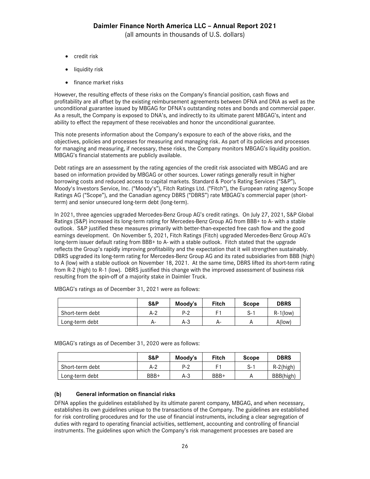(all amounts in thousands of U.S. dollars)

- credit risk
- liquidity risk
- finance market risks

However, the resulting effects of these risks on the Company's financial position, cash flows and profitability are all offset by the existing reimbursement agreements between DFNA and DNA as well as the unconditional guarantee issued by MBGAG for DFNA's outstanding notes and bonds and commercial paper. As a result, the Company is exposed to DNA's, and indirectly to its ultimate parent MBGAG's, intent and ability to effect the repayment of these receivables and honor the unconditional guarantee.

This note presents information about the Company's exposure to each of the above risks, and the objectives, policies and processes for measuring and managing risk. As part of its policies and processes for managing and measuring, if necessary, these risks, the Company monitors MBGAG's liquidity position. MBGAG's financial statements are publicly available.

Debt ratings are an assessment by the rating agencies of the credit risk associated with MBGAG and are based on information provided by MBGAG or other sources. Lower ratings generally result in higher borrowing costs and reduced access to capital markets. Standard & Poor's Rating Services ("S&P"), Moody's Investors Service, Inc. ("Moody's"), Fitch Ratings Ltd. ("Fitch"), the European rating agency Scope Ratings AG ("Scope"), and the Canadian agency DBRS ("DBRS") rate MBGAG's commercial paper (shortterm) and senior unsecured long-term debt (long-term).

In 2021, three agencies upgraded Mercedes-Benz Group AG's credit ratings. On July 27, 2021, S&P Global Ratings (S&P) increased its long-term rating for Mercedes-Benz Group AG from BBB+ to A- with a stable outlook. S&P justified these measures primarily with better-than-expected free cash flow and the good earnings development. On November 5, 2021, Fitch Ratings (Fitch) upgraded Mercedes-Benz Group AG's long-term issuer default rating from BBB+ to A- with a stable outlook. Fitch stated that the upgrade reflects the Group's rapidly improving profitability and the expectation that it will strengthen sustainably. DBRS upgraded its long-term rating for Mercedes-Benz Group AG and its rated subsidiaries from BBB (high) to A (low) with a stable outlook on November 18, 2021. At the same time, DBRS lifted its short-term rating from R-2 (high) to R-1 (low). DBRS justified this change with the improved assessment of business risk resulting from the spin-off of a majority stake in Daimler Truck.

|                 | S&P | Moody's | <b>Fitch</b> | <b>Scope</b> | <b>DBRS</b> |
|-----------------|-----|---------|--------------|--------------|-------------|
| Short-term debt | A-2 | $P-2$   | E۹           | S-1          | $R-1$ (low) |
| Long-term debt  | А-  | $A-3$   | А-           |              | A(low)      |

MBGAG's ratings as of December 31, 2021 were as follows:

MBGAG's ratings as of December 31, 2020 were as follows:

|                 | S&P  | Moody's | <b>Fitch</b> | <b>Scope</b> | <b>DBRS</b> |
|-----------------|------|---------|--------------|--------------|-------------|
| Short-term debt | A-2  | P-2     |              | S-1          | R-2(high)   |
| Long-term debt  | BBB+ | A-3     | BBB+         |              | BBB(high)   |

### **(b) General information on financial risks**

DFNA applies the guidelines established by its ultimate parent company, MBGAG, and when necessary, establishes its own guidelines unique to the transactions of the Company. The guidelines are established for risk controlling procedures and for the use of financial instruments, including a clear segregation of duties with regard to operating financial activities, settlement, accounting and controlling of financial instruments. The guidelines upon which the Company's risk management processes are based are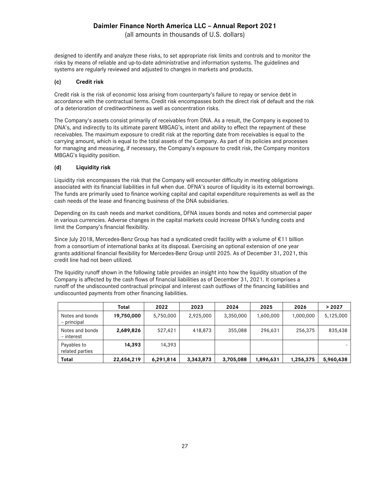(all amounts in thousands of U.S. dollars)

designed to identify and analyze these risks, to set appropriate risk limits and controls and to monitor the risks by means of reliable and up-to-date administrative and information systems. The guidelines and systems are regularly reviewed and adjusted to changes in markets and products.

#### **(c) Credit risk**

Credit risk is the risk of economic loss arising from counterparty's failure to repay or service debt in accordance with the contractual terms. Credit risk encompasses both the direct risk of default and the risk of a deterioration of creditworthiness as well as concentration risks.

The Company's assets consist primarily of receivables from DNA. As a result, the Company is exposed to DNA's, and indirectly to its ultimate parent MBGAG's, intent and ability to effect the repayment of these receivables. The maximum exposure to credit risk at the reporting date from receivables is equal to the carrying amount, which is equal to the total assets of the Company. As part of its policies and processes for managing and measuring, if necessary, the Company's exposure to credit risk, the Company monitors MBGAG's liquidity position.

### **(d) Liquidity risk**

Liquidity risk encompasses the risk that the Company will encounter difficulty in meeting obligations associated with its financial liabilities in full when due. DFNA's source of liquidity is its external borrowings. The funds are primarily used to finance working capital and capital expenditure requirements as well as the cash needs of the lease and financing business of the DNA subsidiaries.

Depending on its cash needs and market conditions, DFNA issues bonds and notes and commercial paper in various currencies. Adverse changes in the capital markets could increase DFNA's funding costs and limit the Company's financial flexibility.

Since July 2018, Mercedes-Benz Group has had a syndicated credit facility with a volume of €11 billion from a consortium of international banks at its disposal. Exercising an optional extension of one year grants additional financial flexibility for Mercedes-Benz Group until 2025. As of December 31, 2021, this credit line had not been utilized.

The liquidity runoff shown in the following table provides an insight into how the liquidity situation of the Company is affected by the cash flows of financial liabilities as of December 31, 2021. It comprises a runoff of the undiscounted contractual principal and interest cash outflows of the financing liabilities and undiscounted payments from other financing liabilities.

|                                | <b>Total</b> | 2022      | 2023      | 2024      | 2025      | 2026      | > 2027    |
|--------------------------------|--------------|-----------|-----------|-----------|-----------|-----------|-----------|
| Notes and bonds<br>- principal | 19,750,000   | 5,750,000 | 2,925,000 | 3,350,000 | 1,600,000 | 1,000,000 | 5,125,000 |
| Notes and bonds<br>- interest  | 2,689,826    | 527,421   | 418,873   | 355,088   | 296,631   | 256,375   | 835,438   |
| Payables to<br>related parties | 14,393       | 14,393    |           |           |           |           |           |
| <b>Total</b>                   | 22,454,219   | 6,291,814 | 3,343,873 | 3,705,088 | 1,896,631 | 1,256,375 | 5,960,438 |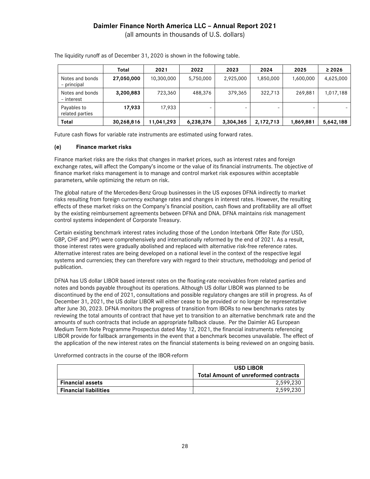(all amounts in thousands of U.S. dollars)

|                                | Total      | 2021       | 2022      | 2023      | 2024      | 2025      | $\geq 2026$ |
|--------------------------------|------------|------------|-----------|-----------|-----------|-----------|-------------|
| Notes and bonds<br>- principal | 27,050,000 | 10,300,000 | 5,750,000 | 2,925,000 | 1,850,000 | 1,600,000 | 4,625,000   |
| Notes and bonds<br>- interest  | 3,200,883  | 723,360    | 488.376   | 379,365   | 322,713   | 269.881   | 1,017,188   |
| Payables to<br>related parties | 17,933     | 17,933     |           | -         |           |           |             |
| <b>Total</b>                   | 30,268,816 | 1,041,293  | 6,238,376 | 3,304,365 | 2,172,713 | 1,869,881 | 5,642,188   |

The liquidity runoff as of December 31, 2020 is shown in the following table.

Future cash flows for variable rate instruments are estimated using forward rates.

#### **(e) Finance market risks**

Finance market risks are the risks that changes in market prices, such as interest rates and foreign exchange rates, will affect the Company's income or the value of its financial instruments. The objective of finance market risks management is to manage and control market risk exposures within acceptable parameters, while optimizing the return on risk.

The global nature of the Mercedes-Benz Group businesses in the US exposes DFNA indirectly to market risks resulting from foreign currency exchange rates and changes in interest rates. However, the resulting effects of these market risks on the Company's financial position, cash flows and profitability are all offset by the existing reimbursement agreements between DFNA and DNA. DFNA maintains risk management control systems independent of Corporate Treasury.

Certain existing benchmark interest rates including those of the London Interbank Offer Rate (for USD, GBP, CHF and JPY) were comprehensively and internationally reformed by the end of 2021. As a result, those interest rates were gradually abolished and replaced with alternative risk-free reference rates. Alternative interest rates are being developed on a national level in the context of the respective legal systems and currencies; they can therefore vary with regard to their structure, methodology and period of publication.

DFNA has US dollar LIBOR based interest rates on the floating-rate receivables from related parties and notes and bonds payable throughout its operations. Although US dollar LIBOR was planned to be discontinued by the end of 2021, consultations and possible regulatory changes are still in progress. As of December 31, 2021, the US dollar LIBOR will either cease to be provided or no longer be representative after June 30, 2023. DFNA monitors the progress of transition from IBORs to new benchmarks rates by reviewing the total amounts of contract that have yet to transition to an alternative benchmark rate and the amounts of such contracts that include an appropriate fallback clause. Per the Daimler AG European Medium Term Note Programme Prospectus dated May 12, 2021, the financial instruments referencing LIBOR provide for fallback arrangements in the event that a benchmark becomes unavailable. The effect of the application of the new interest rates on the financial statements is being reviewed on an ongoing basis.

Unreformed contracts in the course of the IBOR-reform

|                              | <b>USD LIBOR</b>                            |
|------------------------------|---------------------------------------------|
|                              | <b>Total Amount of unreformed contracts</b> |
| <b>Financial assets</b>      | 2,599,230                                   |
| <b>Financial liabilities</b> | 2,599,230                                   |